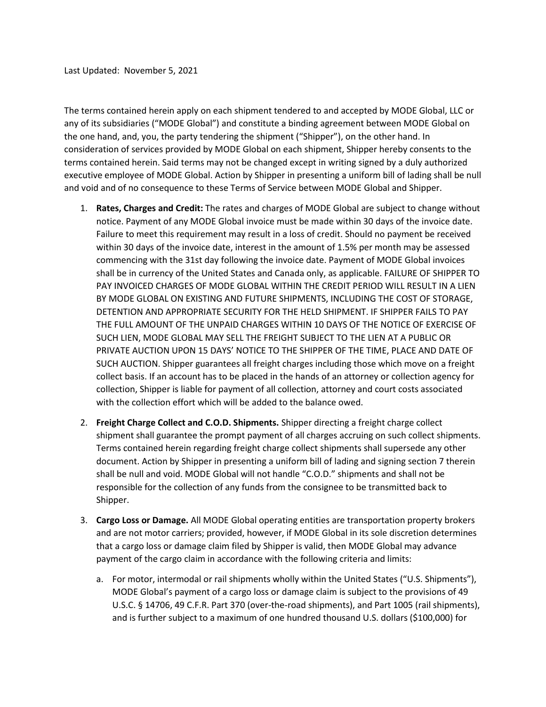The terms contained herein apply on each shipment tendered to and accepted by MODE Global, LLC or any of its subsidiaries ("MODE Global") and constitute a binding agreement between MODE Global on the one hand, and, you, the party tendering the shipment ("Shipper"), on the other hand. In consideration of services provided by MODE Global on each shipment, Shipper hereby consents to the terms contained herein. Said terms may not be changed except in writing signed by a duly authorized executive employee of MODE Global. Action by Shipper in presenting a uniform bill of lading shall be null and void and of no consequence to these Terms of Service between MODE Global and Shipper.

- 1. **Rates, Charges and Credit:** The rates and charges of MODE Global are subject to change without notice. Payment of any MODE Global invoice must be made within 30 days of the invoice date. Failure to meet this requirement may result in a loss of credit. Should no payment be received within 30 days of the invoice date, interest in the amount of 1.5% per month may be assessed commencing with the 31st day following the invoice date. Payment of MODE Global invoices shall be in currency of the United States and Canada only, as applicable. FAILURE OF SHIPPER TO PAY INVOICED CHARGES OF MODE GLOBAL WITHIN THE CREDIT PERIOD WILL RESULT IN A LIEN BY MODE GLOBAL ON EXISTING AND FUTURE SHIPMENTS, INCLUDING THE COST OF STORAGE, DETENTION AND APPROPRIATE SECURITY FOR THE HELD SHIPMENT. IF SHIPPER FAILS TO PAY THE FULL AMOUNT OF THE UNPAID CHARGES WITHIN 10 DAYS OF THE NOTICE OF EXERCISE OF SUCH LIEN, MODE GLOBAL MAY SELL THE FREIGHT SUBJECT TO THE LIEN AT A PUBLIC OR PRIVATE AUCTION UPON 15 DAYS' NOTICE TO THE SHIPPER OF THE TIME, PLACE AND DATE OF SUCH AUCTION. Shipper guarantees all freight charges including those which move on a freight collect basis. If an account has to be placed in the hands of an attorney or collection agency for collection, Shipper is liable for payment of all collection, attorney and court costs associated with the collection effort which will be added to the balance owed.
- 2. **Freight Charge Collect and C.O.D. Shipments.** Shipper directing a freight charge collect shipment shall guarantee the prompt payment of all charges accruing on such collect shipments. Terms contained herein regarding freight charge collect shipments shall supersede any other document. Action by Shipper in presenting a uniform bill of lading and signing section 7 therein shall be null and void. MODE Global will not handle "C.O.D." shipments and shall not be responsible for the collection of any funds from the consignee to be transmitted back to Shipper.
- 3. **Cargo Loss or Damage.** All MODE Global operating entities are transportation property brokers and are not motor carriers; provided, however, if MODE Global in its sole discretion determines that a cargo loss or damage claim filed by Shipper is valid, then MODE Global may advance payment of the cargo claim in accordance with the following criteria and limits:
	- a. For motor, intermodal or rail shipments wholly within the United States ("U.S. Shipments"), MODE Global's payment of a cargo loss or damage claim is subject to the provisions of 49 U.S.C. § 14706, 49 C.F.R. Part 370 (over-the-road shipments), and Part 1005 (rail shipments), and is further subject to a maximum of one hundred thousand U.S. dollars (\$100,000) for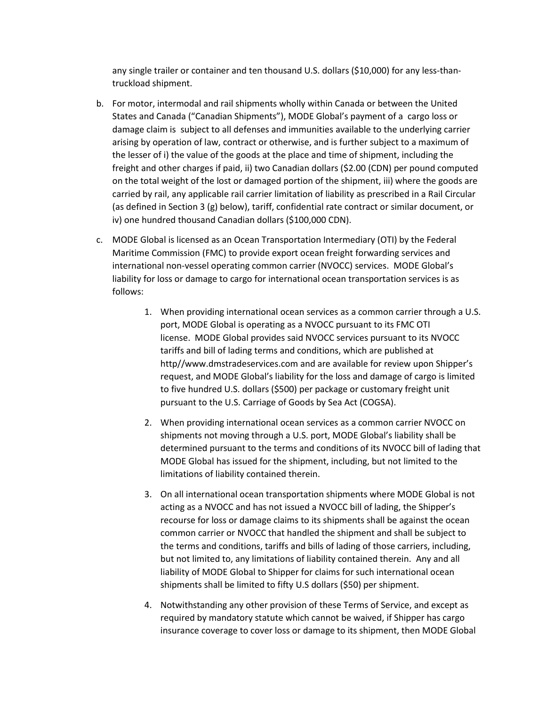any single trailer or container and ten thousand U.S. dollars (\$10,000) for any less-thantruckload shipment.

- b. For motor, intermodal and rail shipments wholly within Canada or between the United States and Canada ("Canadian Shipments"), MODE Global's payment of a cargo loss or damage claim is subject to all defenses and immunities available to the underlying carrier arising by operation of law, contract or otherwise, and is further subject to a maximum of the lesser of i) the value of the goods at the place and time of shipment, including the freight and other charges if paid, ii) two Canadian dollars (\$2.00 (CDN) per pound computed on the total weight of the lost or damaged portion of the shipment, iii) where the goods are carried by rail, any applicable rail carrier limitation of liability as prescribed in a Rail Circular (as defined in Section 3 (g) below), tariff, confidential rate contract or similar document, or iv) one hundred thousand Canadian dollars (\$100,000 CDN).
- c. MODE Global is licensed as an Ocean Transportation Intermediary (OTI) by the Federal Maritime Commission (FMC) to provide export ocean freight forwarding services and international non-vessel operating common carrier (NVOCC) services. MODE Global's liability for loss or damage to cargo for international ocean transportation services is as follows:
	- 1. When providing international ocean services as a common carrier through a U.S. port, MODE Global is operating as a NVOCC pursuant to its FMC OTI license. MODE Global provides said NVOCC services pursuant to its NVOCC tariffs and bill of lading terms and conditions, which are published at http//www.dmstradeservices.com and are available for review upon Shipper's request, and MODE Global's liability for the loss and damage of cargo is limited to five hundred U.S. dollars (\$500) per package or customary freight unit pursuant to the U.S. Carriage of Goods by Sea Act (COGSA).
	- 2. When providing international ocean services as a common carrier NVOCC on shipments not moving through a U.S. port, MODE Global's liability shall be determined pursuant to the terms and conditions of its NVOCC bill of lading that MODE Global has issued for the shipment, including, but not limited to the limitations of liability contained therein.
	- 3. On all international ocean transportation shipments where MODE Global is not acting as a NVOCC and has not issued a NVOCC bill of lading, the Shipper's recourse for loss or damage claims to its shipments shall be against the ocean common carrier or NVOCC that handled the shipment and shall be subject to the terms and conditions, tariffs and bills of lading of those carriers, including, but not limited to, any limitations of liability contained therein. Any and all liability of MODE Global to Shipper for claims for such international ocean shipments shall be limited to fifty U.S dollars (\$50) per shipment.
	- 4. Notwithstanding any other provision of these Terms of Service, and except as required by mandatory statute which cannot be waived, if Shipper has cargo insurance coverage to cover loss or damage to its shipment, then MODE Global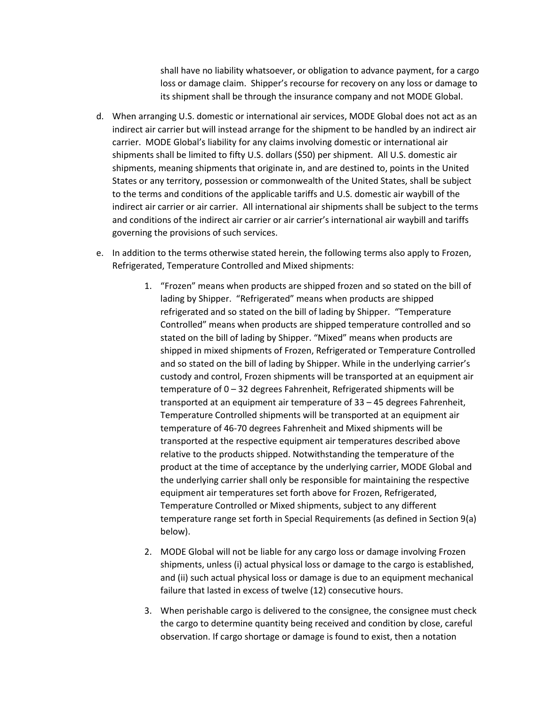shall have no liability whatsoever, or obligation to advance payment, for a cargo loss or damage claim. Shipper's recourse for recovery on any loss or damage to its shipment shall be through the insurance company and not MODE Global.

- d. When arranging U.S. domestic or international air services, MODE Global does not act as an indirect air carrier but will instead arrange for the shipment to be handled by an indirect air carrier. MODE Global's liability for any claims involving domestic or international air shipments shall be limited to fifty U.S. dollars (\$50) per shipment. All U.S. domestic air shipments, meaning shipments that originate in, and are destined to, points in the United States or any territory, possession or commonwealth of the United States, shall be subject to the terms and conditions of the applicable tariffs and U.S. domestic air waybill of the indirect air carrier or air carrier. All international air shipments shall be subject to the terms and conditions of the indirect air carrier or air carrier's international air waybill and tariffs governing the provisions of such services.
- e. In addition to the terms otherwise stated herein, the following terms also apply to Frozen, Refrigerated, Temperature Controlled and Mixed shipments:
	- 1. "Frozen" means when products are shipped frozen and so stated on the bill of lading by Shipper. "Refrigerated" means when products are shipped refrigerated and so stated on the bill of lading by Shipper. "Temperature Controlled" means when products are shipped temperature controlled and so stated on the bill of lading by Shipper. "Mixed" means when products are shipped in mixed shipments of Frozen, Refrigerated or Temperature Controlled and so stated on the bill of lading by Shipper. While in the underlying carrier's custody and control, Frozen shipments will be transported at an equipment air temperature of 0 – 32 degrees Fahrenheit, Refrigerated shipments will be transported at an equipment air temperature of 33 – 45 degrees Fahrenheit, Temperature Controlled shipments will be transported at an equipment air temperature of 46-70 degrees Fahrenheit and Mixed shipments will be transported at the respective equipment air temperatures described above relative to the products shipped. Notwithstanding the temperature of the product at the time of acceptance by the underlying carrier, MODE Global and the underlying carrier shall only be responsible for maintaining the respective equipment air temperatures set forth above for Frozen, Refrigerated, Temperature Controlled or Mixed shipments, subject to any different temperature range set forth in Special Requirements (as defined in Section 9(a) below).
	- 2. MODE Global will not be liable for any cargo loss or damage involving Frozen shipments, unless (i) actual physical loss or damage to the cargo is established, and (ii) such actual physical loss or damage is due to an equipment mechanical failure that lasted in excess of twelve (12) consecutive hours.
	- 3. When perishable cargo is delivered to the consignee, the consignee must check the cargo to determine quantity being received and condition by close, careful observation. If cargo shortage or damage is found to exist, then a notation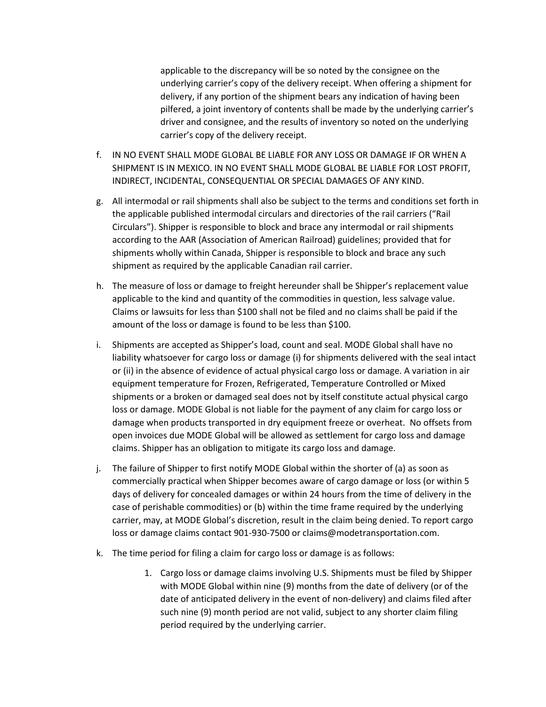applicable to the discrepancy will be so noted by the consignee on the underlying carrier's copy of the delivery receipt. When offering a shipment for delivery, if any portion of the shipment bears any indication of having been pilfered, a joint inventory of contents shall be made by the underlying carrier's driver and consignee, and the results of inventory so noted on the underlying carrier's copy of the delivery receipt.

- f. IN NO EVENT SHALL MODE GLOBAL BE LIABLE FOR ANY LOSS OR DAMAGE IF OR WHEN A SHIPMENT IS IN MEXICO. IN NO EVENT SHALL MODE GLOBAL BE LIABLE FOR LOST PROFIT, INDIRECT, INCIDENTAL, CONSEQUENTIAL OR SPECIAL DAMAGES OF ANY KIND.
- g. All intermodal or rail shipments shall also be subject to the terms and conditions set forth in the applicable published intermodal circulars and directories of the rail carriers ("Rail Circulars"). Shipper is responsible to block and brace any intermodal or rail shipments according to the AAR (Association of American Railroad) guidelines; provided that for shipments wholly within Canada, Shipper is responsible to block and brace any such shipment as required by the applicable Canadian rail carrier.
- h. The measure of loss or damage to freight hereunder shall be Shipper's replacement value applicable to the kind and quantity of the commodities in question, less salvage value. Claims or lawsuits for less than \$100 shall not be filed and no claims shall be paid if the amount of the loss or damage is found to be less than \$100.
- i. Shipments are accepted as Shipper's load, count and seal. MODE Global shall have no liability whatsoever for cargo loss or damage (i) for shipments delivered with the seal intact or (ii) in the absence of evidence of actual physical cargo loss or damage. A variation in air equipment temperature for Frozen, Refrigerated, Temperature Controlled or Mixed shipments or a broken or damaged seal does not by itself constitute actual physical cargo loss or damage. MODE Global is not liable for the payment of any claim for cargo loss or damage when products transported in dry equipment freeze or overheat. No offsets from open invoices due MODE Global will be allowed as settlement for cargo loss and damage claims. Shipper has an obligation to mitigate its cargo loss and damage.
- j. The failure of Shipper to first notify MODE Global within the shorter of (a) as soon as commercially practical when Shipper becomes aware of cargo damage or loss (or within 5 days of delivery for concealed damages or within 24 hours from the time of delivery in the case of perishable commodities) or (b) within the time frame required by the underlying carrier, may, at MODE Global's discretion, result in the claim being denied. To report cargo loss or damage claims contact 901-930-7500 or claims@modetransportation.com.
- k. The time period for filing a claim for cargo loss or damage is as follows:
	- 1. Cargo loss or damage claims involving U.S. Shipments must be filed by Shipper with MODE Global within nine (9) months from the date of delivery (or of the date of anticipated delivery in the event of non-delivery) and claims filed after such nine (9) month period are not valid, subject to any shorter claim filing period required by the underlying carrier.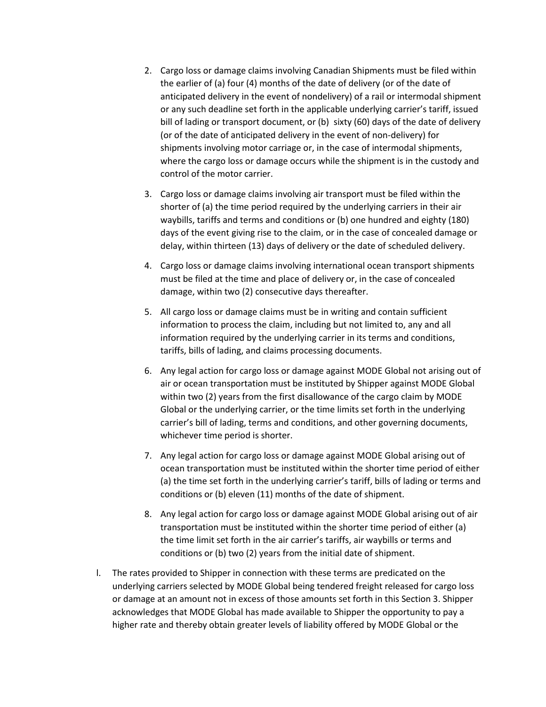- 2. Cargo loss or damage claims involving Canadian Shipments must be filed within the earlier of (a) four (4) months of the date of delivery (or of the date of anticipated delivery in the event of nondelivery) of a rail or intermodal shipment or any such deadline set forth in the applicable underlying carrier's tariff, issued bill of lading or transport document, or (b) sixty (60) days of the date of delivery (or of the date of anticipated delivery in the event of non-delivery) for shipments involving motor carriage or, in the case of intermodal shipments, where the cargo loss or damage occurs while the shipment is in the custody and control of the motor carrier.
- 3. Cargo loss or damage claims involving air transport must be filed within the shorter of (a) the time period required by the underlying carriers in their air waybills, tariffs and terms and conditions or (b) one hundred and eighty (180) days of the event giving rise to the claim, or in the case of concealed damage or delay, within thirteen (13) days of delivery or the date of scheduled delivery.
- 4. Cargo loss or damage claims involving international ocean transport shipments must be filed at the time and place of delivery or, in the case of concealed damage, within two (2) consecutive days thereafter.
- 5. All cargo loss or damage claims must be in writing and contain sufficient information to process the claim, including but not limited to, any and all information required by the underlying carrier in its terms and conditions, tariffs, bills of lading, and claims processing documents.
- 6. Any legal action for cargo loss or damage against MODE Global not arising out of air or ocean transportation must be instituted by Shipper against MODE Global within two (2) years from the first disallowance of the cargo claim by MODE Global or the underlying carrier, or the time limits set forth in the underlying carrier's bill of lading, terms and conditions, and other governing documents, whichever time period is shorter.
- 7. Any legal action for cargo loss or damage against MODE Global arising out of ocean transportation must be instituted within the shorter time period of either (a) the time set forth in the underlying carrier's tariff, bills of lading or terms and conditions or (b) eleven (11) months of the date of shipment.
- 8. Any legal action for cargo loss or damage against MODE Global arising out of air transportation must be instituted within the shorter time period of either (a) the time limit set forth in the air carrier's tariffs, air waybills or terms and conditions or (b) two (2) years from the initial date of shipment.
- l. The rates provided to Shipper in connection with these terms are predicated on the underlying carriers selected by MODE Global being tendered freight released for cargo loss or damage at an amount not in excess of those amounts set forth in this Section 3. Shipper acknowledges that MODE Global has made available to Shipper the opportunity to pay a higher rate and thereby obtain greater levels of liability offered by MODE Global or the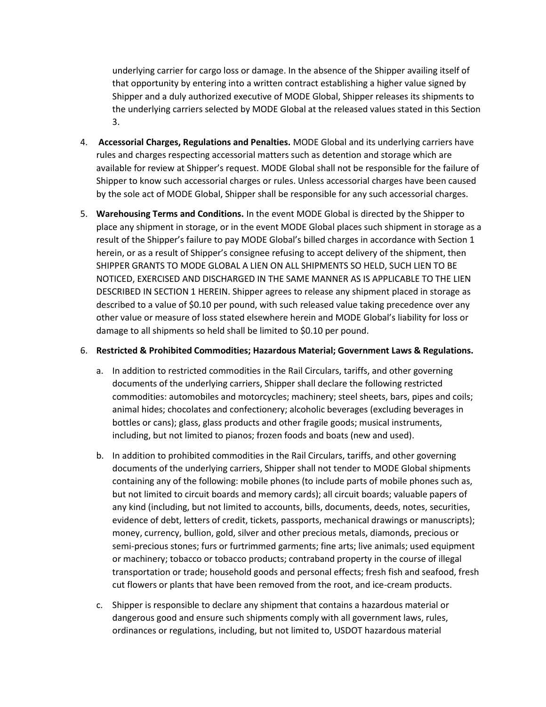underlying carrier for cargo loss or damage. In the absence of the Shipper availing itself of that opportunity by entering into a written contract establishing a higher value signed by Shipper and a duly authorized executive of MODE Global, Shipper releases its shipments to the underlying carriers selected by MODE Global at the released values stated in this Section 3.

- 4. **Accessorial Charges, Regulations and Penalties.** MODE Global and its underlying carriers have rules and charges respecting accessorial matters such as detention and storage which are available for review at Shipper's request. MODE Global shall not be responsible for the failure of Shipper to know such accessorial charges or rules. Unless accessorial charges have been caused by the sole act of MODE Global, Shipper shall be responsible for any such accessorial charges.
- 5. **Warehousing Terms and Conditions.** In the event MODE Global is directed by the Shipper to place any shipment in storage, or in the event MODE Global places such shipment in storage as a result of the Shipper's failure to pay MODE Global's billed charges in accordance with Section 1 herein, or as a result of Shipper's consignee refusing to accept delivery of the shipment, then SHIPPER GRANTS TO MODE GLOBAL A LIEN ON ALL SHIPMENTS SO HELD, SUCH LIEN TO BE NOTICED, EXERCISED AND DISCHARGED IN THE SAME MANNER AS IS APPLICABLE TO THE LIEN DESCRIBED IN SECTION 1 HEREIN. Shipper agrees to release any shipment placed in storage as described to a value of \$0.10 per pound, with such released value taking precedence over any other value or measure of loss stated elsewhere herein and MODE Global's liability for loss or damage to all shipments so held shall be limited to \$0.10 per pound.

## 6. **Restricted & Prohibited Commodities; Hazardous Material; Government Laws & Regulations.**

- a. In addition to restricted commodities in the Rail Circulars, tariffs, and other governing documents of the underlying carriers, Shipper shall declare the following restricted commodities: automobiles and motorcycles; machinery; steel sheets, bars, pipes and coils; animal hides; chocolates and confectionery; alcoholic beverages (excluding beverages in bottles or cans); glass, glass products and other fragile goods; musical instruments, including, but not limited to pianos; frozen foods and boats (new and used).
- b. In addition to prohibited commodities in the Rail Circulars, tariffs, and other governing documents of the underlying carriers, Shipper shall not tender to MODE Global shipments containing any of the following: mobile phones (to include parts of mobile phones such as, but not limited to circuit boards and memory cards); all circuit boards; valuable papers of any kind (including, but not limited to accounts, bills, documents, deeds, notes, securities, evidence of debt, letters of credit, tickets, passports, mechanical drawings or manuscripts); money, currency, bullion, gold, silver and other precious metals, diamonds, precious or semi-precious stones; furs or furtrimmed garments; fine arts; live animals; used equipment or machinery; tobacco or tobacco products; contraband property in the course of illegal transportation or trade; household goods and personal effects; fresh fish and seafood, fresh cut flowers or plants that have been removed from the root, and ice-cream products.
- c. Shipper is responsible to declare any shipment that contains a hazardous material or dangerous good and ensure such shipments comply with all government laws, rules, ordinances or regulations, including, but not limited to, USDOT hazardous material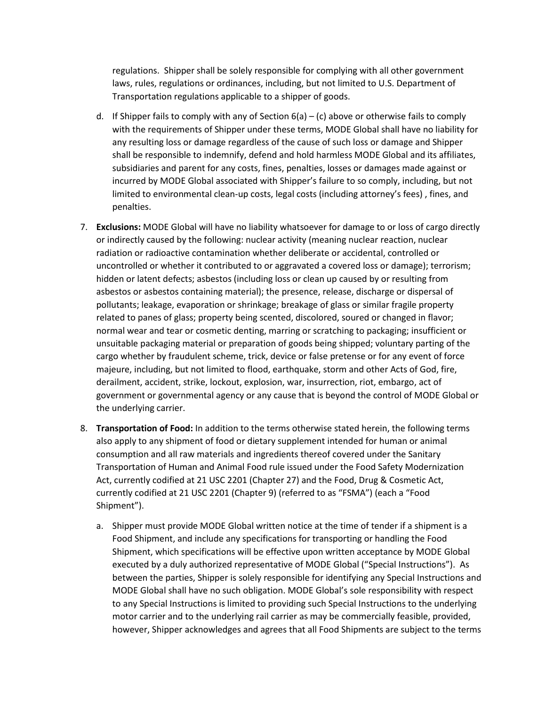regulations. Shipper shall be solely responsible for complying with all other government laws, rules, regulations or ordinances, including, but not limited to U.S. Department of Transportation regulations applicable to a shipper of goods.

- d. If Shipper fails to comply with any of Section  $6(a) (c)$  above or otherwise fails to comply with the requirements of Shipper under these terms, MODE Global shall have no liability for any resulting loss or damage regardless of the cause of such loss or damage and Shipper shall be responsible to indemnify, defend and hold harmless MODE Global and its affiliates, subsidiaries and parent for any costs, fines, penalties, losses or damages made against or incurred by MODE Global associated with Shipper's failure to so comply, including, but not limited to environmental clean-up costs, legal costs (including attorney's fees) , fines, and penalties.
- 7. **Exclusions:** MODE Global will have no liability whatsoever for damage to or loss of cargo directly or indirectly caused by the following: nuclear activity (meaning nuclear reaction, nuclear radiation or radioactive contamination whether deliberate or accidental, controlled or uncontrolled or whether it contributed to or aggravated a covered loss or damage); terrorism; hidden or latent defects; asbestos (including loss or clean up caused by or resulting from asbestos or asbestos containing material); the presence, release, discharge or dispersal of pollutants; leakage, evaporation or shrinkage; breakage of glass or similar fragile property related to panes of glass; property being scented, discolored, soured or changed in flavor; normal wear and tear or cosmetic denting, marring or scratching to packaging; insufficient or unsuitable packaging material or preparation of goods being shipped; voluntary parting of the cargo whether by fraudulent scheme, trick, device or false pretense or for any event of force majeure, including, but not limited to flood, earthquake, storm and other Acts of God, fire, derailment, accident, strike, lockout, explosion, war, insurrection, riot, embargo, act of government or governmental agency or any cause that is beyond the control of MODE Global or the underlying carrier.
- 8. **Transportation of Food:** In addition to the terms otherwise stated herein, the following terms also apply to any shipment of food or dietary supplement intended for human or animal consumption and all raw materials and ingredients thereof covered under the Sanitary Transportation of Human and Animal Food rule issued under the Food Safety Modernization Act, currently codified at 21 USC 2201 (Chapter 27) and the Food, Drug & Cosmetic Act, currently codified at 21 USC 2201 (Chapter 9) (referred to as "FSMA") (each a "Food Shipment").
	- a. Shipper must provide MODE Global written notice at the time of tender if a shipment is a Food Shipment, and include any specifications for transporting or handling the Food Shipment, which specifications will be effective upon written acceptance by MODE Global executed by a duly authorized representative of MODE Global ("Special Instructions"). As between the parties, Shipper is solely responsible for identifying any Special Instructions and MODE Global shall have no such obligation. MODE Global's sole responsibility with respect to any Special Instructions is limited to providing such Special Instructions to the underlying motor carrier and to the underlying rail carrier as may be commercially feasible, provided, however, Shipper acknowledges and agrees that all Food Shipments are subject to the terms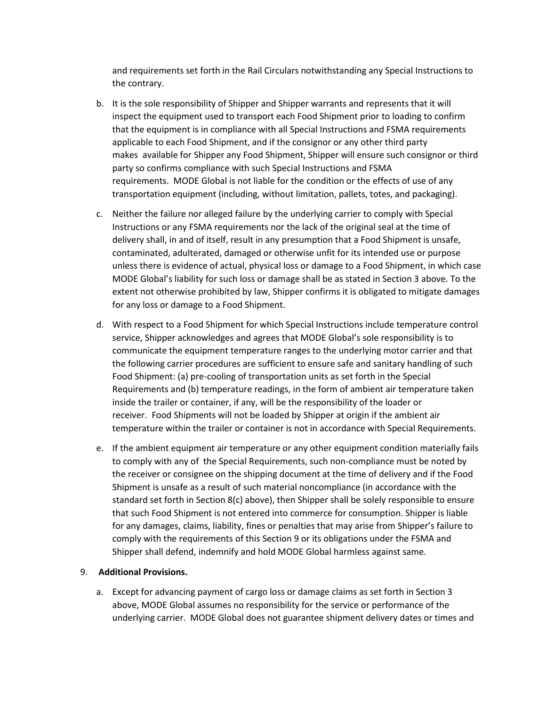and requirements set forth in the Rail Circulars notwithstanding any Special Instructions to the contrary.

- b. It is the sole responsibility of Shipper and Shipper warrants and represents that it will inspect the equipment used to transport each Food Shipment prior to loading to confirm that the equipment is in compliance with all Special Instructions and FSMA requirements applicable to each Food Shipment, and if the consignor or any other third party makes available for Shipper any Food Shipment, Shipper will ensure such consignor or third party so confirms compliance with such Special Instructions and FSMA requirements. MODE Global is not liable for the condition or the effects of use of any transportation equipment (including, without limitation, pallets, totes, and packaging).
- c. Neither the failure nor alleged failure by the underlying carrier to comply with Special Instructions or any FSMA requirements nor the lack of the original seal at the time of delivery shall, in and of itself, result in any presumption that a Food Shipment is unsafe, contaminated, adulterated, damaged or otherwise unfit for its intended use or purpose unless there is evidence of actual, physical loss or damage to a Food Shipment, in which case MODE Global's liability for such loss or damage shall be as stated in Section 3 above. To the extent not otherwise prohibited by law, Shipper confirms it is obligated to mitigate damages for any loss or damage to a Food Shipment.
- d. With respect to a Food Shipment for which Special Instructions include temperature control service, Shipper acknowledges and agrees that MODE Global's sole responsibility is to communicate the equipment temperature ranges to the underlying motor carrier and that the following carrier procedures are sufficient to ensure safe and sanitary handling of such Food Shipment: (a) pre-cooling of transportation units as set forth in the Special Requirements and (b) temperature readings, in the form of ambient air temperature taken inside the trailer or container, if any, will be the responsibility of the loader or receiver. Food Shipments will not be loaded by Shipper at origin if the ambient air temperature within the trailer or container is not in accordance with Special Requirements.
- e. If the ambient equipment air temperature or any other equipment condition materially fails to comply with any of the Special Requirements, such non-compliance must be noted by the receiver or consignee on the shipping document at the time of delivery and if the Food Shipment is unsafe as a result of such material noncompliance (in accordance with the standard set forth in Section 8(c) above), then Shipper shall be solely responsible to ensure that such Food Shipment is not entered into commerce for consumption. Shipper is liable for any damages, claims, liability, fines or penalties that may arise from Shipper's failure to comply with the requirements of this Section 9 or its obligations under the FSMA and Shipper shall defend, indemnify and hold MODE Global harmless against same.

## 9. **Additional Provisions.**

a. Except for advancing payment of cargo loss or damage claims as set forth in Section 3 above, MODE Global assumes no responsibility for the service or performance of the underlying carrier. MODE Global does not guarantee shipment delivery dates or times and